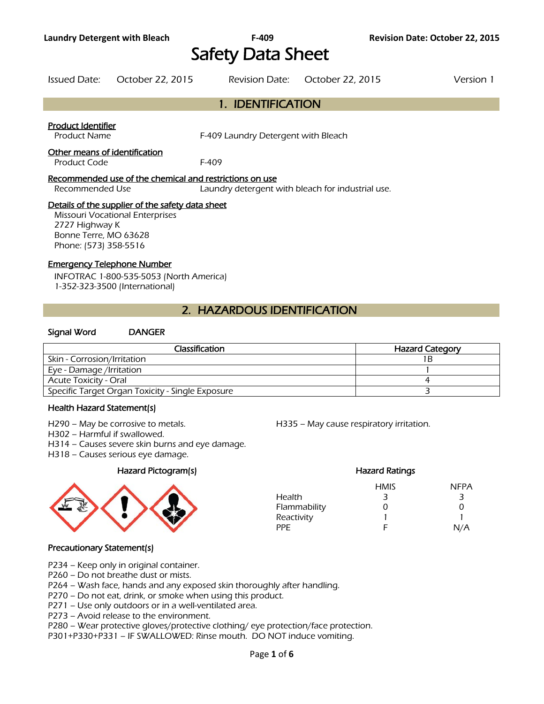# Safety Data Sheet

| Issued Date: | October 22, 2015 | Revision Date: October 22, 2015 | Version 1 |
|--------------|------------------|---------------------------------|-----------|

### 1. IDENTIFICATION

#### Product Identifier

Product Name The State of the F-409 Laundry Detergent with Bleach

#### Other means of identification

Product Code F-409

#### Recommended use of the chemical and restrictions on use

Recommended Use Laundry detergent with bleach for industrial use.

#### Details of the supplier of the safety data sheet

Missouri Vocational Enterprises 2727 Highway K Bonne Terre, MO 63628 Phone: (573) 358-5516

#### Emergency Telephone Number

INFOTRAC 1-800-535-5053 (North America) 1-352-323-3500 (International)

### 2. HAZARDOUS IDENTIFICATION

#### Signal Word DANGER

| Classification                                   | <b>Hazard Category</b> |
|--------------------------------------------------|------------------------|
| Skin - Corrosion/Irritation                      |                        |
| Eye - Damage /Irritation                         |                        |
| Acute Toxicity - Oral                            |                        |
| Specific Target Organ Toxicity - Single Exposure |                        |
|                                                  |                        |

#### Health Hazard Statement(s)

H290 – May be corrosive to metals. H335 – May cause respiratory irritation.

H302 – Harmful if swallowed.

H314 – Causes severe skin burns and eye damage.

H318 – Causes serious eye damage.

#### Hazard Pictogram(s) Hazard Ratings



#### HMIS NFPA Health 3 3 3 Flammability 0 0 0 Reactivity 1 1 PPE F N/A

#### Precautionary Statement(s)

- P234 Keep only in original container.
- P260 Do not breathe dust or mists.
- P264 Wash face, hands and any exposed skin thoroughly after handling.
- P270 Do not eat, drink, or smoke when using this product.
- P271 Use only outdoors or in a well-ventilated area.
- P273 Avoid release to the environment.
- P280 Wear protective gloves/protective clothing/ eye protection/face protection.
- P301+P330+P331 IF SWALLOWED: Rinse mouth. DO NOT induce vomiting.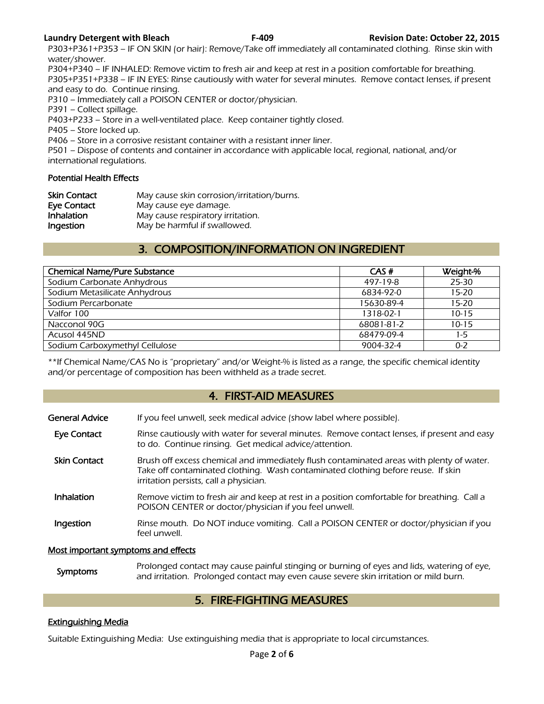P303+P361+P353 – IF ON SKIN (or hair): Remove/Take off immediately all contaminated clothing. Rinse skin with water/shower.

P304+P340 – IF INHALED: Remove victim to fresh air and keep at rest in a position comfortable for breathing. P305+P351+P338 – IF IN EYES: Rinse cautiously with water for several minutes. Remove contact lenses, if present and easy to do. Continue rinsing.

P310 – Immediately call a POISON CENTER or doctor/physician.

P391 – Collect spillage.

P403+P233 – Store in a well-ventilated place. Keep container tightly closed.

P405 – Store locked up.

P406 – Store in a corrosive resistant container with a resistant inner liner.

P501 – Dispose of contents and container in accordance with applicable local, regional, national, and/or international regulations.

#### Potential Health Effects

| <b>Skin Contact</b> | May cause skin corrosion/irritation/burns. |
|---------------------|--------------------------------------------|
| Eye Contact         | May cause eye damage.                      |
| Inhalation          | May cause respiratory irritation.          |
| Ingestion           | May be harmful if swallowed.               |

### 3. COMPOSITION/INFORMATION ON INGREDIENT

| <b>Chemical Name/Pure Substance</b> | CAS#       | Weight-%  |
|-------------------------------------|------------|-----------|
| Sodium Carbonate Anhydrous          | 497-19-8   | 25-30     |
| Sodium Metasilicate Anhydrous       | 6834-92-0  | $15 - 20$ |
| Sodium Percarbonate                 | 15630-89-4 | $15 - 20$ |
| Valfor 100                          | 1318-02-1  | $10 - 15$ |
| Nacconol 90G                        | 68081-81-2 | $10 - 15$ |
| Acusol 445ND                        | 68479-09-4 | $1-5$     |
| Sodium Carboxymethyl Cellulose      | 9004-32-4  | $0 - 2$   |
|                                     |            |           |

\*\*If Chemical Name/CAS No is "proprietary" and/or Weight-% is listed as a range, the specific chemical identity and/or percentage of composition has been withheld as a trade secret.

#### 4. FIRST-AID MEASURES

| <b>General Advice</b>               | If you feel unwell, seek medical advice (show label where possible).                                                                                                                                                   |
|-------------------------------------|------------------------------------------------------------------------------------------------------------------------------------------------------------------------------------------------------------------------|
| Eye Contact                         | Rinse cautiously with water for several minutes. Remove contact lenses, if present and easy<br>to do. Continue rinsing. Get medical advice/attention.                                                                  |
| <b>Skin Contact</b>                 | Brush off excess chemical and immediately flush contaminated areas with plenty of water.<br>Take off contaminated clothing. Wash contaminated clothing before reuse. If skin<br>irritation persists, call a physician. |
| <b>Inhalation</b>                   | Remove victim to fresh air and keep at rest in a position comfortable for breathing. Call a<br>POISON CENTER or doctor/physician if you feel unwell.                                                                   |
| Ingestion                           | Rinse mouth. Do NOT induce vomiting. Call a POISON CENTER or doctor/physician if you<br>feel unwell.                                                                                                                   |
| Most important symptoms and effects |                                                                                                                                                                                                                        |

Symptoms Prolonged contact may cause painful stinging or burning of eyes and lids, watering of eye,<br>and irritation. Prolonged contact may over saves severe skip irritation or mild burn and irritation. Prolonged contact may even cause severe skin irritation or mild burn.

#### 5. FIRE-FIGHTING MEASURES

#### Extinguishing Media

Suitable Extinguishing Media: Use extinguishing media that is appropriate to local circumstances.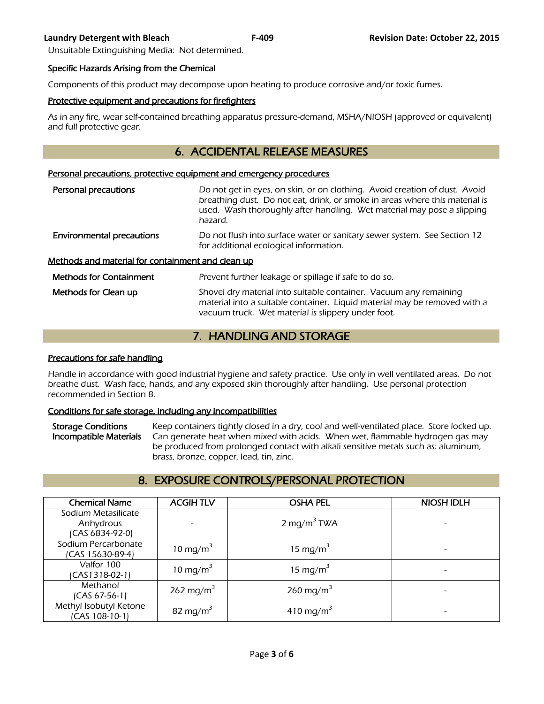Unsuitable Extinguishing Media: Not determined.

#### Specific Hazards Arising from the Chemical

Components of this product may decompose upon heating to produce corrosive and/or toxic fumes.

#### Protective equipment and precautions for firefighters

As in any fire, wear self-contained breathing apparatus pressure-demand, MSHA/NIOSH (approved or equivalent) and full protective gear.

## 6. ACCIDENTAL RELEASE MEASURES

#### Personal precautions, protective equipment and emergency procedures

| Personal precautions                                     | Do not get in eyes, on skin, or on clothing. Avoid creation of dust. Avoid<br>breathing dust. Do not eat, drink, or smoke in areas where this material is<br>used. Wash thoroughly after handling. Wet material may pose a slipping<br>hazard. |  |
|----------------------------------------------------------|------------------------------------------------------------------------------------------------------------------------------------------------------------------------------------------------------------------------------------------------|--|
| <b>Environmental precautions</b>                         | Do not flush into surface water or sanitary sewer system. See Section 12<br>for additional ecological information.                                                                                                                             |  |
| <u>Methods and material for containment and clean up</u> |                                                                                                                                                                                                                                                |  |
| <b>Methods for Containment</b>                           | Prevent further leakage or spillage if safe to do so.                                                                                                                                                                                          |  |
| Methods for Clean up                                     | Shovel dry material into suitable container. Vacuum any remaining<br>material into a suitable container. Liquid material may be removed with a                                                                                                 |  |

# 7. HANDLING AND STORAGE

vacuum truck. Wet material is slippery under foot.

#### Precautions for safe handling

Handle in accordance with good industrial hygiene and safety practice. Use only in well ventilated areas. Do not breathe dust. Wash face, hands, and any exposed skin thoroughly after handling. Use personal protection recommended in Section 8.

#### Conditions for safe storage, including any incompatibilities

Storage Conditions Keep containers tightly closed in a dry, cool and well-ventilated place. Store locked up. Incompatible Materials Can generate heat when mixed with acids. When wet, flammable hydrogen gas may be produced from prolonged contact with alkali sensitive metals such as: aluminum, brass, bronze, copper, lead, tin, zinc.

# 8. EXPOSURE CONTROLS/PERSONAL PROTECTION

| <b>Chemical Name</b>   | <b>ACGIHTLV</b>          | <b>OSHA PEL</b>         | <b>NIOSH IDLH</b> |
|------------------------|--------------------------|-------------------------|-------------------|
| Sodium Metasilicate    |                          |                         |                   |
| Anhydrous              | $\overline{\phantom{a}}$ | 2 mg/m <sup>3</sup> TWA |                   |
| (CAS 6834-92-0)        |                          |                         |                   |
| Sodium Percarbonate    | 10 mg/m <sup>3</sup>     | 15 mg/m <sup>3</sup>    |                   |
| (CAS 15630-89-4)       |                          |                         |                   |
| Valfor 100             | 10 mg/m <sup>3</sup>     | 15 mg/m <sup>3</sup>    |                   |
| $(CAS1318-02-1)$       |                          |                         |                   |
| Methanol               | 262 mg/m <sup>3</sup>    | 260 mg/m <sup>3</sup>   |                   |
| (CAS 67-56-1)          |                          |                         |                   |
| Methyl Isobutyl Ketone | 82 mg/m <sup>3</sup>     | 410 mg/m <sup>3</sup>   |                   |
| (CAS 108-10-1)         |                          |                         |                   |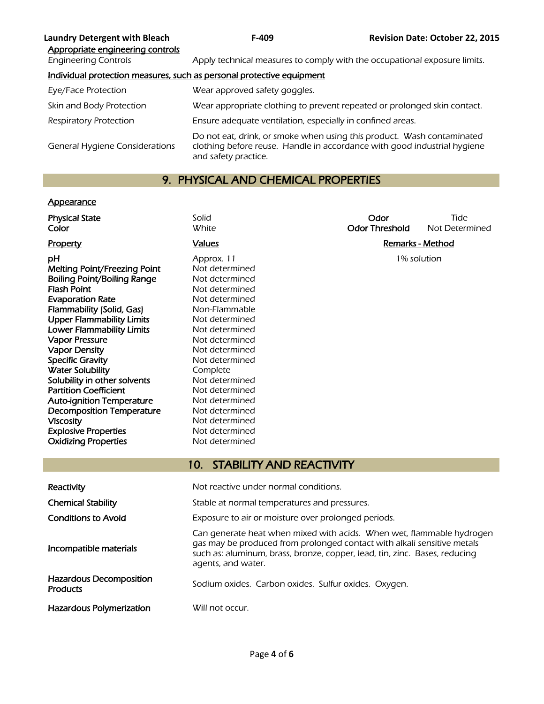| <b>Laundry Detergent with Bleach</b><br>Appropriate engineering controls | $F-409$                                                                                                                                                                    | <b>Revision Date: October 22, 2015</b> |
|--------------------------------------------------------------------------|----------------------------------------------------------------------------------------------------------------------------------------------------------------------------|----------------------------------------|
| <b>Engineering Controls</b>                                              | Apply technical measures to comply with the occupational exposure limits.                                                                                                  |                                        |
|                                                                          | Individual protection measures, such as personal protective equipment                                                                                                      |                                        |
| Eye/Face Protection                                                      | Wear approved safety goggles.                                                                                                                                              |                                        |
| Skin and Body Protection                                                 | Wear appropriate clothing to prevent repeated or prolonged skin contact.                                                                                                   |                                        |
| <b>Respiratory Protection</b>                                            | Ensure adequate ventilation, especially in confined areas.                                                                                                                 |                                        |
| <b>General Hygiene Considerations</b>                                    | Do not eat, drink, or smoke when using this product. Wash contaminated<br>clothing before reuse. Handle in accordance with good industrial hygiene<br>and safety practice. |                                        |

# 9. PHYSICAL AND CHEMICAL PROPERTIES

## **Appearance**

| <b>Physical State</b><br>Color                               | Solid<br><b>White</b>                                                                                                                                                                                                                                | Odor<br><b>Odor Threshold</b> | Tide<br>Not Determined  |
|--------------------------------------------------------------|------------------------------------------------------------------------------------------------------------------------------------------------------------------------------------------------------------------------------------------------------|-------------------------------|-------------------------|
|                                                              |                                                                                                                                                                                                                                                      |                               |                         |
| Property                                                     | <b>Values</b>                                                                                                                                                                                                                                        |                               | <b>Remarks - Method</b> |
| рH                                                           | Approx. 11                                                                                                                                                                                                                                           |                               | 1% solution             |
| Melting Point/Freezing Point                                 | Not determined                                                                                                                                                                                                                                       |                               |                         |
| <b>Boiling Point/Boiling Range</b>                           | Not determined                                                                                                                                                                                                                                       |                               |                         |
| <b>Flash Point</b>                                           | Not determined                                                                                                                                                                                                                                       |                               |                         |
| <b>Evaporation Rate</b>                                      | Not determined                                                                                                                                                                                                                                       |                               |                         |
| Flammability (Solid, Gas)                                    | Non-Flammable                                                                                                                                                                                                                                        |                               |                         |
| <b>Upper Flammability Limits</b>                             | Not determined                                                                                                                                                                                                                                       |                               |                         |
| <b>Lower Flammability Limits</b>                             | Not determined                                                                                                                                                                                                                                       |                               |                         |
| <b>Vapor Pressure</b>                                        | Not determined                                                                                                                                                                                                                                       |                               |                         |
| <b>Vapor Density</b>                                         | Not determined                                                                                                                                                                                                                                       |                               |                         |
| <b>Specific Gravity</b>                                      | Not determined                                                                                                                                                                                                                                       |                               |                         |
| <b>Water Solubility</b>                                      | Complete                                                                                                                                                                                                                                             |                               |                         |
| Solubility in other solvents<br><b>Partition Coefficient</b> | Not determined                                                                                                                                                                                                                                       |                               |                         |
| <b>Auto-ignition Temperature</b>                             | Not determined                                                                                                                                                                                                                                       |                               |                         |
| <b>Decomposition Temperature</b>                             | Not determined                                                                                                                                                                                                                                       |                               |                         |
| <b>Viscosity</b>                                             | Not determined<br>Not determined                                                                                                                                                                                                                     |                               |                         |
| <b>Explosive Properties</b>                                  | Not determined                                                                                                                                                                                                                                       |                               |                         |
| <b>Oxidizing Properties</b>                                  | Not determined                                                                                                                                                                                                                                       |                               |                         |
|                                                              |                                                                                                                                                                                                                                                      |                               |                         |
|                                                              | <b>STABILITY AND REACTIVITY</b><br>10 <sub>1</sub>                                                                                                                                                                                                   |                               |                         |
|                                                              |                                                                                                                                                                                                                                                      |                               |                         |
| Reactivity                                                   | Not reactive under normal conditions.                                                                                                                                                                                                                |                               |                         |
| <b>Chemical Stability</b>                                    | Stable at normal temperatures and pressures.                                                                                                                                                                                                         |                               |                         |
| <b>Conditions to Avoid</b>                                   | Exposure to air or moisture over prolonged periods.                                                                                                                                                                                                  |                               |                         |
| Incompatible materials                                       | Can generate heat when mixed with acids. When wet, flammable hydrogen<br>gas may be produced from prolonged contact with alkali sensitive metals<br>such as: aluminum, brass, bronze, copper, lead, tin, zinc. Bases, reducing<br>agents, and water. |                               |                         |
| <b>Hazardous Decomposition</b><br><b>Products</b>            | Sodium oxides. Carbon oxides. Sulfur oxides. Oxygen.                                                                                                                                                                                                 |                               |                         |
| Hazardous Polymerization                                     | Will not occur.                                                                                                                                                                                                                                      |                               |                         |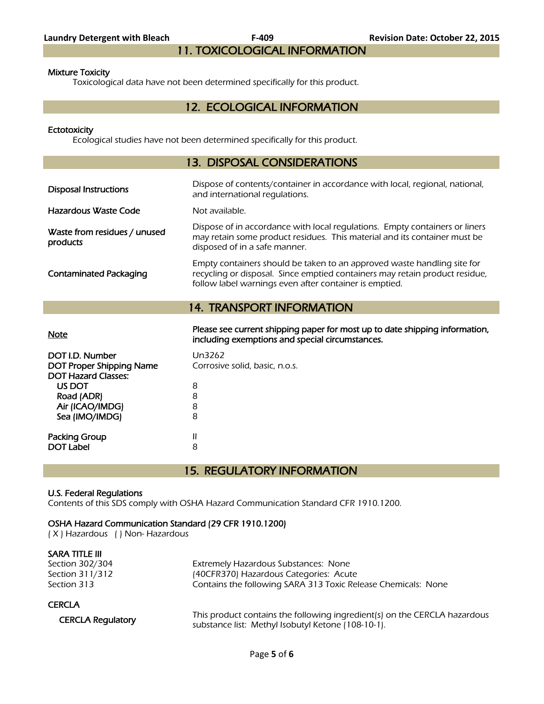# 11. TOXICOLOGICAL INFORMATION

#### Mixture Toxicity

Toxicological data have not been determined specifically for this product.

#### 12. ECOLOGICAL INFORMATION

#### **Ectotoxicity**

Ecological studies have not been determined specifically for this product.

#### 13. DISPOSAL CONSIDERATIONS

| <b>Disposal Instructions</b>             | Dispose of contents/container in accordance with local, regional, national,<br>and international regulations.                                                                                                    |
|------------------------------------------|------------------------------------------------------------------------------------------------------------------------------------------------------------------------------------------------------------------|
| Hazardous Waste Code                     | Not available.                                                                                                                                                                                                   |
| Waste from residues / unused<br>products | Dispose of in accordance with local regulations. Empty containers or liners<br>may retain some product residues. This material and its container must be<br>disposed of in a safe manner.                        |
| <b>Contaminated Packaging</b>            | Empty containers should be taken to an approved waste handling site for<br>recycling or disposal. Since emptied containers may retain product residue,<br>follow label warnings even after container is emptied. |
|                                          | <b>14. TRANSPORT INFORMATION</b>                                                                                                                                                                                 |
|                                          |                                                                                                                                                                                                                  |

Please see current shipping paper for most up to date shipping information,<br>Note including exemptions and special circumstances.

| DOT I.D. Number<br><b>DOT Proper Shipping Name</b><br><b>DOT Hazard Classes:</b> | Un3262<br>Corrosive solid, basic, n.o.s. |
|----------------------------------------------------------------------------------|------------------------------------------|
| US DOT                                                                           | 8                                        |
| Road (ADR)                                                                       | 8                                        |
| Air (ICAO/IMDG)                                                                  | 8                                        |
| Sea (IMO/IMDG)                                                                   | 8                                        |
| Packing Group                                                                    | Ш                                        |
| <b>DOT Label</b>                                                                 | 8                                        |
|                                                                                  |                                          |

15. REGULATORY INFORMATION

#### U.S. Federal Regulations

Contents of this SDS comply with OSHA Hazard Communication Standard CFR 1910.1200.

#### OSHA Hazard Communication Standard (29 CFR 1910.1200)

( X ) Hazardous ( ) Non- Hazardous

| SARA TITLE III           |                                                                           |
|--------------------------|---------------------------------------------------------------------------|
| Section 302/304          | Extremely Hazardous Substances: None                                      |
| Section 311/312          | (40CFR370) Hazardous Categories: Acute                                    |
| Section 313              | Contains the following SARA 313 Toxic Release Chemicals: None             |
| <b>CERCLA</b>            |                                                                           |
| <b>CERCLA Regulatory</b> | This product contains the following ingredient(s) on the CERCLA hazardous |
|                          | substance list: Methyl Isobutyl Ketone (108-10-1).                        |